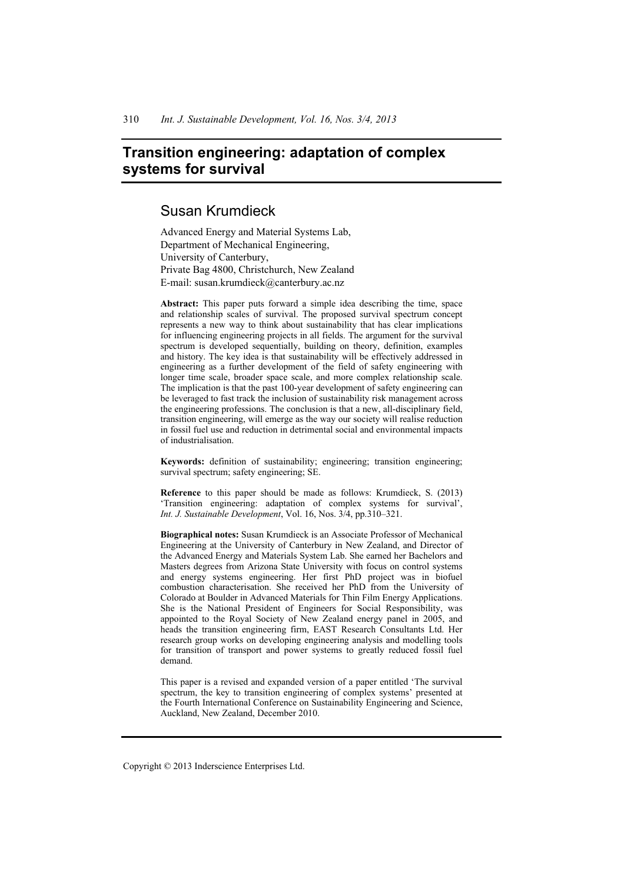# **Transition engineering: adaptation of complex systems for survival**

## Susan Krumdieck

Advanced Energy and Material Systems Lab, Department of Mechanical Engineering, University of Canterbury, Private Bag 4800, Christchurch, New Zealand E-mail: susan.krumdieck@canterbury.ac.nz

**Abstract:** This paper puts forward a simple idea describing the time, space and relationship scales of survival. The proposed survival spectrum concept represents a new way to think about sustainability that has clear implications for influencing engineering projects in all fields. The argument for the survival spectrum is developed sequentially, building on theory, definition, examples and history. The key idea is that sustainability will be effectively addressed in engineering as a further development of the field of safety engineering with longer time scale, broader space scale, and more complex relationship scale. The implication is that the past 100-year development of safety engineering can be leveraged to fast track the inclusion of sustainability risk management across the engineering professions. The conclusion is that a new, all-disciplinary field, transition engineering, will emerge as the way our society will realise reduction in fossil fuel use and reduction in detrimental social and environmental impacts of industrialisation.

**Keywords:** definition of sustainability; engineering; transition engineering; survival spectrum; safety engineering; SE.

**Reference** to this paper should be made as follows: Krumdieck, S. (2013) 'Transition engineering: adaptation of complex systems for survival', *Int. J. Sustainable Development*, Vol. 16, Nos. 3/4, pp.310–321.

**Biographical notes:** Susan Krumdieck is an Associate Professor of Mechanical Engineering at the University of Canterbury in New Zealand, and Director of the Advanced Energy and Materials System Lab. She earned her Bachelors and Masters degrees from Arizona State University with focus on control systems and energy systems engineering. Her first PhD project was in biofuel combustion characterisation. She received her PhD from the University of Colorado at Boulder in Advanced Materials for Thin Film Energy Applications. She is the National President of Engineers for Social Responsibility, was appointed to the Royal Society of New Zealand energy panel in 2005, and heads the transition engineering firm, EAST Research Consultants Ltd. Her research group works on developing engineering analysis and modelling tools for transition of transport and power systems to greatly reduced fossil fuel demand.

This paper is a revised and expanded version of a paper entitled 'The survival spectrum, the key to transition engineering of complex systems' presented at the Fourth International Conference on Sustainability Engineering and Science, Auckland, New Zealand, December 2010.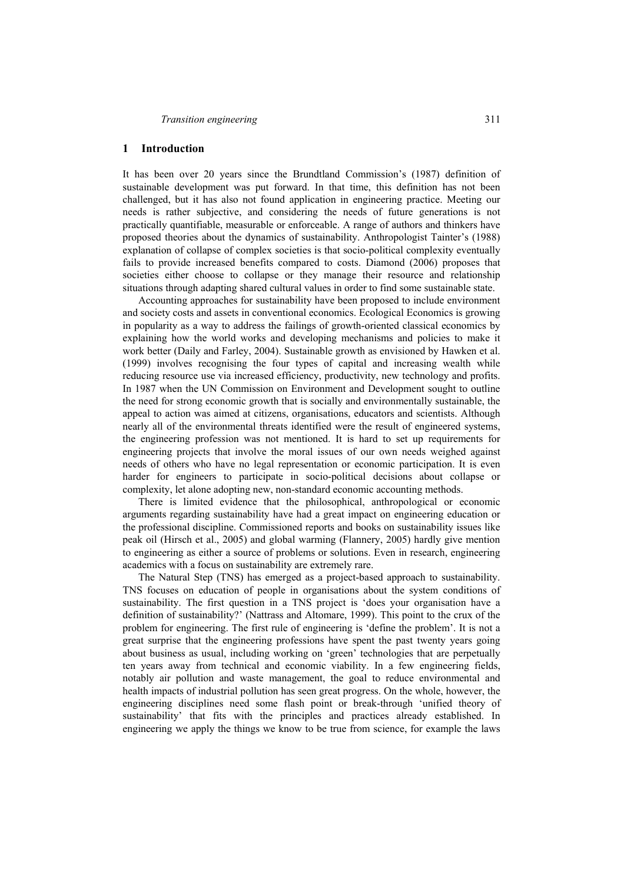#### **1 Introduction**

It has been over 20 years since the Brundtland Commission's (1987) definition of sustainable development was put forward. In that time, this definition has not been challenged, but it has also not found application in engineering practice. Meeting our needs is rather subjective, and considering the needs of future generations is not practically quantifiable, measurable or enforceable. A range of authors and thinkers have proposed theories about the dynamics of sustainability. Anthropologist Tainter's (1988) explanation of collapse of complex societies is that socio-political complexity eventually fails to provide increased benefits compared to costs. Diamond (2006) proposes that societies either choose to collapse or they manage their resource and relationship situations through adapting shared cultural values in order to find some sustainable state.

Accounting approaches for sustainability have been proposed to include environment and society costs and assets in conventional economics. Ecological Economics is growing in popularity as a way to address the failings of growth-oriented classical economics by explaining how the world works and developing mechanisms and policies to make it work better (Daily and Farley, 2004). Sustainable growth as envisioned by Hawken et al. (1999) involves recognising the four types of capital and increasing wealth while reducing resource use via increased efficiency, productivity, new technology and profits. In 1987 when the UN Commission on Environment and Development sought to outline the need for strong economic growth that is socially and environmentally sustainable, the appeal to action was aimed at citizens, organisations, educators and scientists. Although nearly all of the environmental threats identified were the result of engineered systems, the engineering profession was not mentioned. It is hard to set up requirements for engineering projects that involve the moral issues of our own needs weighed against needs of others who have no legal representation or economic participation. It is even harder for engineers to participate in socio-political decisions about collapse or complexity, let alone adopting new, non-standard economic accounting methods.

There is limited evidence that the philosophical, anthropological or economic arguments regarding sustainability have had a great impact on engineering education or the professional discipline. Commissioned reports and books on sustainability issues like peak oil (Hirsch et al., 2005) and global warming (Flannery, 2005) hardly give mention to engineering as either a source of problems or solutions. Even in research, engineering academics with a focus on sustainability are extremely rare.

The Natural Step (TNS) has emerged as a project-based approach to sustainability. TNS focuses on education of people in organisations about the system conditions of sustainability. The first question in a TNS project is 'does your organisation have a definition of sustainability?' (Nattrass and Altomare, 1999). This point to the crux of the problem for engineering. The first rule of engineering is 'define the problem'. It is not a great surprise that the engineering professions have spent the past twenty years going about business as usual, including working on 'green' technologies that are perpetually ten years away from technical and economic viability. In a few engineering fields, notably air pollution and waste management, the goal to reduce environmental and health impacts of industrial pollution has seen great progress. On the whole, however, the engineering disciplines need some flash point or break-through 'unified theory of sustainability' that fits with the principles and practices already established. In engineering we apply the things we know to be true from science, for example the laws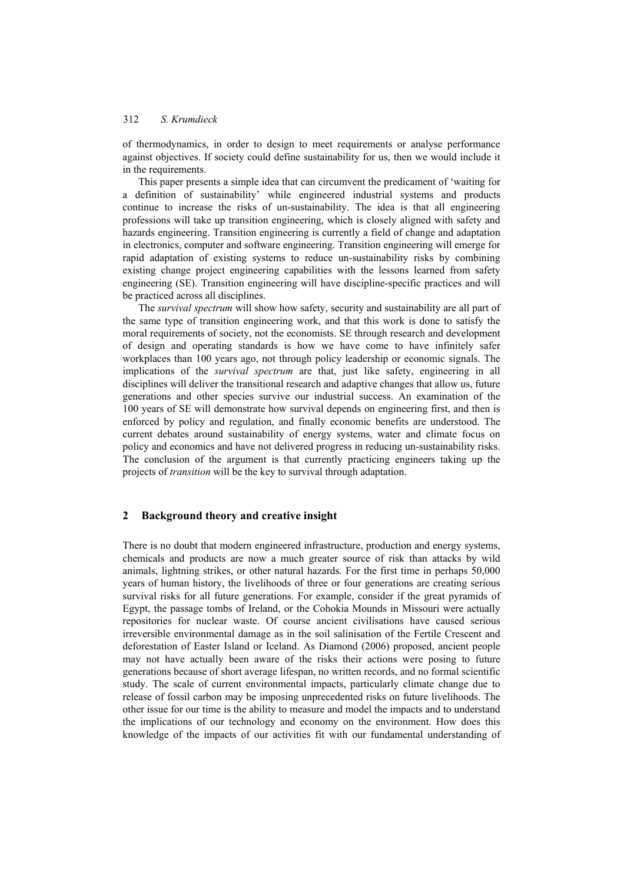of thermodynamics, in order to design to meet requirements or analyse performance against objectives. If society could define sustainability for us, then we would include it in the requirements.

This paper presents a simple idea that can circumvent the predicament of 'waiting for a definition of sustainability' while engineered industrial systems and products continue to increase the risks of un-sustainability. The idea is that all engineering professions will take up transition engineering, which is closely aligned with safety and hazards engineering. Transition engineering is currently a field of change and adaptation in electronics, computer and software engineering. Transition engineering will emerge for rapid adaptation of existing systems to reduce un-sustainability risks by combining existing change project engineering capabilities with the lessons learned from safety engineering (SE). Transition engineering will have discipline-specific practices and will be practiced across all disciplines.

The *survival spectrum* will show how safety, security and sustainability are all part of the same type of transition engineering work, and that this work is done to satisfy the moral requirements of society, not the economists. SE through research and development of design and operating standards is how we have come to have infinitely safer workplaces than 100 years ago, not through policy leadership or economic signals. The implications of the *survival spectrum* are that, just like safety, engineering in all disciplines will deliver the transitional research and adaptive changes that allow us, future generations and other species survive our industrial success. An examination of the 100 years of SE will demonstrate how survival depends on engineering first, and then is enforced by policy and regulation, and finally economic benefits are understood. The current debates around sustainability of energy systems, water and climate focus on policy and economics and have not delivered progress in reducing un-sustainability risks. The conclusion of the argument is that currently practicing engineers taking up the projects of *transition* will be the key to survival through adaptation.

#### **2 Background theory and creative insight**

There is no doubt that modern engineered infrastructure, production and energy systems, chemicals and products are now a much greater source of risk than attacks by wild animals, lightning strikes, or other natural hazards. For the first time in perhaps 50,000 years of human history, the livelihoods of three or four generations are creating serious survival risks for all future generations. For example, consider if the great pyramids of Egypt, the passage tombs of Ireland, or the Cohokia Mounds in Missouri were actually repositories for nuclear waste. Of course ancient civilisations have caused serious irreversible environmental damage as in the soil salinisation of the Fertile Crescent and deforestation of Easter Island or Iceland. As Diamond (2006) proposed, ancient people may not have actually been aware of the risks their actions were posing to future generations because of short average lifespan, no written records, and no formal scientific study. The scale of current environmental impacts, particularly climate change due to release of fossil carbon may be imposing unprecedented risks on future livelihoods. The other issue for our time is the ability to measure and model the impacts and to understand the implications of our technology and economy on the environment. How does this knowledge of the impacts of our activities fit with our fundamental understanding of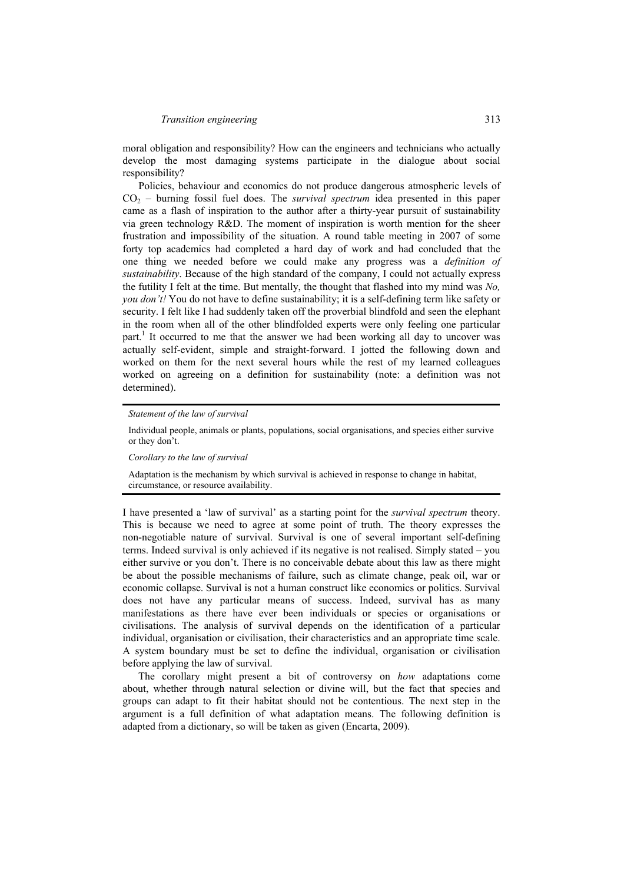moral obligation and responsibility? How can the engineers and technicians who actually develop the most damaging systems participate in the dialogue about social responsibility?

Policies, behaviour and economics do not produce dangerous atmospheric levels of  $CO<sub>2</sub>$  – burning fossil fuel does. The *survival spectrum* idea presented in this paper came as a flash of inspiration to the author after a thirty-year pursuit of sustainability via green technology R&D. The moment of inspiration is worth mention for the sheer frustration and impossibility of the situation. A round table meeting in 2007 of some forty top academics had completed a hard day of work and had concluded that the one thing we needed before we could make any progress was a *definition of sustainability*. Because of the high standard of the company, I could not actually express the futility I felt at the time. But mentally, the thought that flashed into my mind was *No, you don't!* You do not have to define sustainability; it is a self-defining term like safety or security. I felt like I had suddenly taken off the proverbial blindfold and seen the elephant in the room when all of the other blindfolded experts were only feeling one particular part.<sup>1</sup> It occurred to me that the answer we had been working all day to uncover was actually self-evident, simple and straight-forward. I jotted the following down and worked on them for the next several hours while the rest of my learned colleagues worked on agreeing on a definition for sustainability (note: a definition was not determined).

*Statement of the law of survival* 

Individual people, animals or plants, populations, social organisations, and species either survive or they don't.

*Corollary to the law of survival* 

Adaptation is the mechanism by which survival is achieved in response to change in habitat, circumstance, or resource availability.

I have presented a 'law of survival' as a starting point for the *survival spectrum* theory. This is because we need to agree at some point of truth. The theory expresses the non-negotiable nature of survival. Survival is one of several important self-defining terms. Indeed survival is only achieved if its negative is not realised. Simply stated – you either survive or you don't. There is no conceivable debate about this law as there might be about the possible mechanisms of failure, such as climate change, peak oil, war or economic collapse. Survival is not a human construct like economics or politics. Survival does not have any particular means of success. Indeed, survival has as many manifestations as there have ever been individuals or species or organisations or civilisations. The analysis of survival depends on the identification of a particular individual, organisation or civilisation, their characteristics and an appropriate time scale. A system boundary must be set to define the individual, organisation or civilisation before applying the law of survival.

The corollary might present a bit of controversy on *how* adaptations come about, whether through natural selection or divine will, but the fact that species and groups can adapt to fit their habitat should not be contentious. The next step in the argument is a full definition of what adaptation means. The following definition is adapted from a dictionary, so will be taken as given (Encarta, 2009).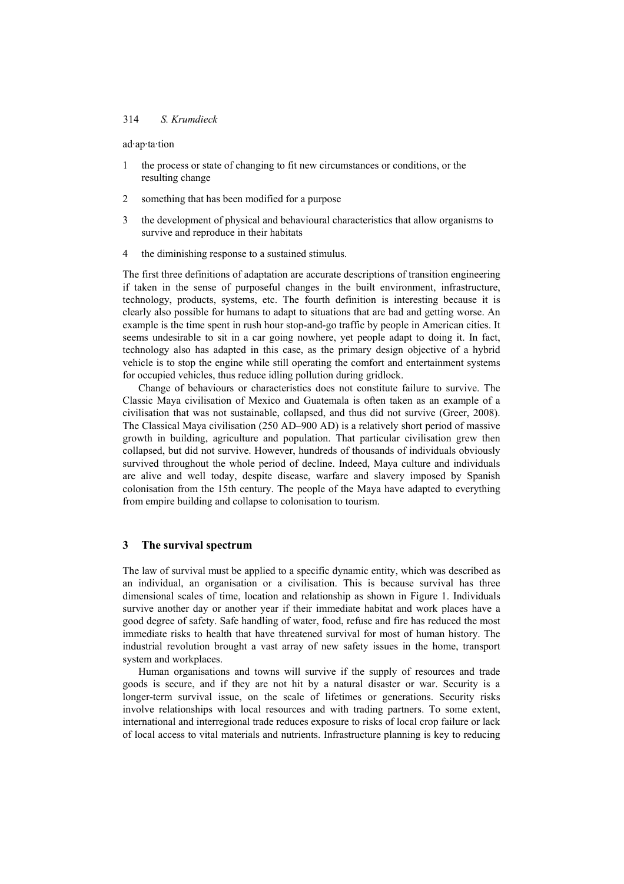ad·ap·ta·tion

- 1 the process or state of changing to fit new circumstances or conditions, or the resulting change
- 2 something that has been modified for a purpose
- 3 the development of physical and behavioural characteristics that allow organisms to survive and reproduce in their habitats
- 4 the diminishing response to a sustained stimulus.

The first three definitions of adaptation are accurate descriptions of transition engineering if taken in the sense of purposeful changes in the built environment, infrastructure, technology, products, systems, etc. The fourth definition is interesting because it is clearly also possible for humans to adapt to situations that are bad and getting worse. An example is the time spent in rush hour stop-and-go traffic by people in American cities. It seems undesirable to sit in a car going nowhere, yet people adapt to doing it. In fact, technology also has adapted in this case, as the primary design objective of a hybrid vehicle is to stop the engine while still operating the comfort and entertainment systems for occupied vehicles, thus reduce idling pollution during gridlock.

Change of behaviours or characteristics does not constitute failure to survive. The Classic Maya civilisation of Mexico and Guatemala is often taken as an example of a civilisation that was not sustainable, collapsed, and thus did not survive (Greer, 2008). The Classical Maya civilisation (250 AD–900 AD) is a relatively short period of massive growth in building, agriculture and population. That particular civilisation grew then collapsed, but did not survive. However, hundreds of thousands of individuals obviously survived throughout the whole period of decline. Indeed, Maya culture and individuals are alive and well today, despite disease, warfare and slavery imposed by Spanish colonisation from the 15th century. The people of the Maya have adapted to everything from empire building and collapse to colonisation to tourism.

## **3 The survival spectrum**

The law of survival must be applied to a specific dynamic entity, which was described as an individual, an organisation or a civilisation. This is because survival has three dimensional scales of time, location and relationship as shown in Figure 1. Individuals survive another day or another year if their immediate habitat and work places have a good degree of safety. Safe handling of water, food, refuse and fire has reduced the most immediate risks to health that have threatened survival for most of human history. The industrial revolution brought a vast array of new safety issues in the home, transport system and workplaces.

Human organisations and towns will survive if the supply of resources and trade goods is secure, and if they are not hit by a natural disaster or war. Security is a longer-term survival issue, on the scale of lifetimes or generations. Security risks involve relationships with local resources and with trading partners. To some extent, international and interregional trade reduces exposure to risks of local crop failure or lack of local access to vital materials and nutrients. Infrastructure planning is key to reducing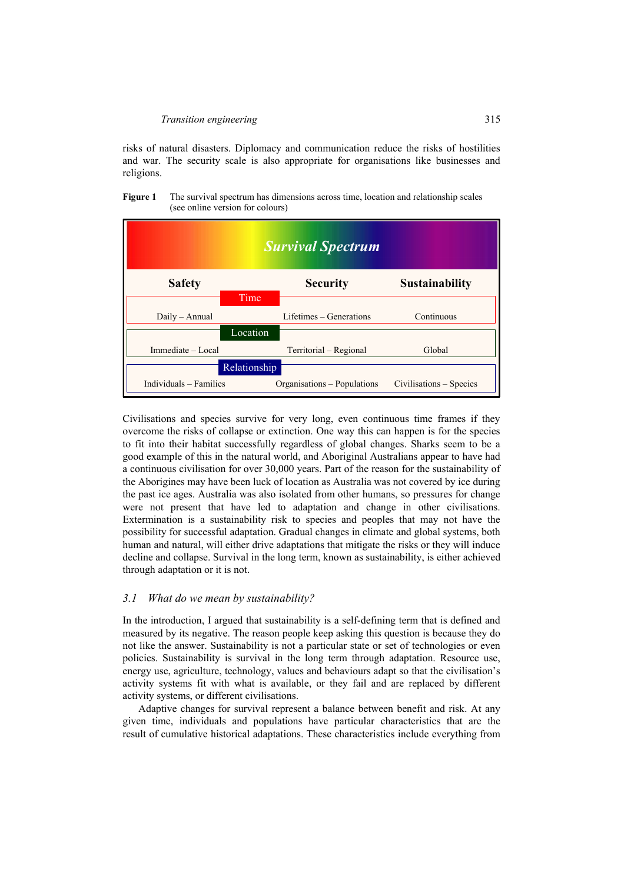risks of natural disasters. Diplomacy and communication reduce the risks of hostilities and war. The security scale is also appropriate for organisations like businesses and religions.





Civilisations and species survive for very long, even continuous time frames if they overcome the risks of collapse or extinction. One way this can happen is for the species to fit into their habitat successfully regardless of global changes. Sharks seem to be a good example of this in the natural world, and Aboriginal Australians appear to have had a continuous civilisation for over 30,000 years. Part of the reason for the sustainability of the Aborigines may have been luck of location as Australia was not covered by ice during the past ice ages. Australia was also isolated from other humans, so pressures for change were not present that have led to adaptation and change in other civilisations. Extermination is a sustainability risk to species and peoples that may not have the possibility for successful adaptation. Gradual changes in climate and global systems, both human and natural, will either drive adaptations that mitigate the risks or they will induce decline and collapse. Survival in the long term, known as sustainability, is either achieved through adaptation or it is not.

#### *3.1 What do we mean by sustainability?*

In the introduction, I argued that sustainability is a self-defining term that is defined and measured by its negative. The reason people keep asking this question is because they do not like the answer. Sustainability is not a particular state or set of technologies or even policies. Sustainability is survival in the long term through adaptation. Resource use, energy use, agriculture, technology, values and behaviours adapt so that the civilisation's activity systems fit with what is available, or they fail and are replaced by different activity systems, or different civilisations.

Adaptive changes for survival represent a balance between benefit and risk. At any given time, individuals and populations have particular characteristics that are the result of cumulative historical adaptations. These characteristics include everything from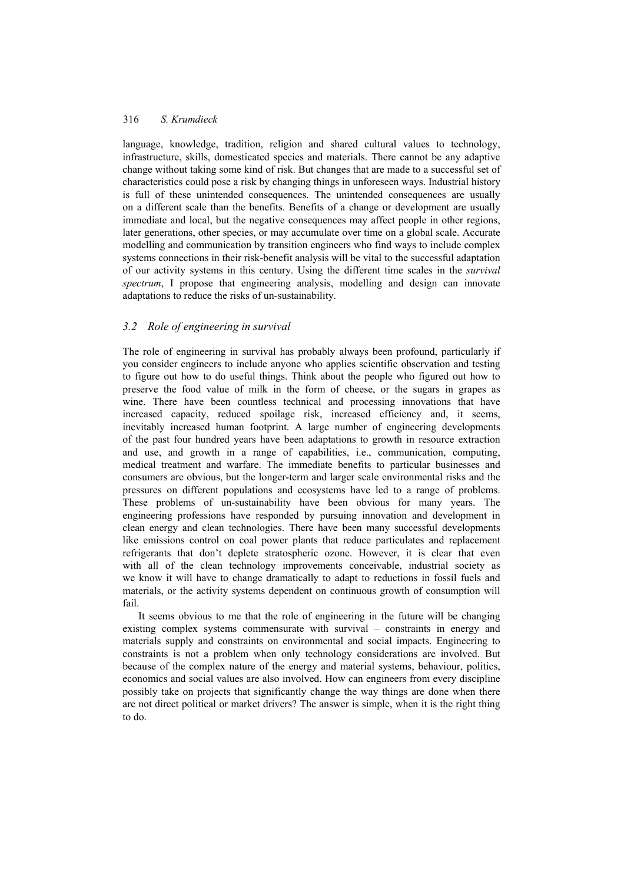language, knowledge, tradition, religion and shared cultural values to technology, infrastructure, skills, domesticated species and materials. There cannot be any adaptive change without taking some kind of risk. But changes that are made to a successful set of characteristics could pose a risk by changing things in unforeseen ways. Industrial history is full of these unintended consequences. The unintended consequences are usually on a different scale than the benefits. Benefits of a change or development are usually immediate and local, but the negative consequences may affect people in other regions, later generations, other species, or may accumulate over time on a global scale. Accurate modelling and communication by transition engineers who find ways to include complex systems connections in their risk-benefit analysis will be vital to the successful adaptation of our activity systems in this century. Using the different time scales in the *survival spectrum*, I propose that engineering analysis, modelling and design can innovate adaptations to reduce the risks of un-sustainability.

#### *3.2 Role of engineering in survival*

The role of engineering in survival has probably always been profound, particularly if you consider engineers to include anyone who applies scientific observation and testing to figure out how to do useful things. Think about the people who figured out how to preserve the food value of milk in the form of cheese, or the sugars in grapes as wine. There have been countless technical and processing innovations that have increased capacity, reduced spoilage risk, increased efficiency and, it seems, inevitably increased human footprint. A large number of engineering developments of the past four hundred years have been adaptations to growth in resource extraction and use, and growth in a range of capabilities, i.e., communication, computing, medical treatment and warfare. The immediate benefits to particular businesses and consumers are obvious, but the longer-term and larger scale environmental risks and the pressures on different populations and ecosystems have led to a range of problems. These problems of un-sustainability have been obvious for many years. The engineering professions have responded by pursuing innovation and development in clean energy and clean technologies. There have been many successful developments like emissions control on coal power plants that reduce particulates and replacement refrigerants that don't deplete stratospheric ozone. However, it is clear that even with all of the clean technology improvements conceivable, industrial society as we know it will have to change dramatically to adapt to reductions in fossil fuels and materials, or the activity systems dependent on continuous growth of consumption will fail.

It seems obvious to me that the role of engineering in the future will be changing existing complex systems commensurate with survival – constraints in energy and materials supply and constraints on environmental and social impacts. Engineering to constraints is not a problem when only technology considerations are involved. But because of the complex nature of the energy and material systems, behaviour, politics, economics and social values are also involved. How can engineers from every discipline possibly take on projects that significantly change the way things are done when there are not direct political or market drivers? The answer is simple, when it is the right thing to do.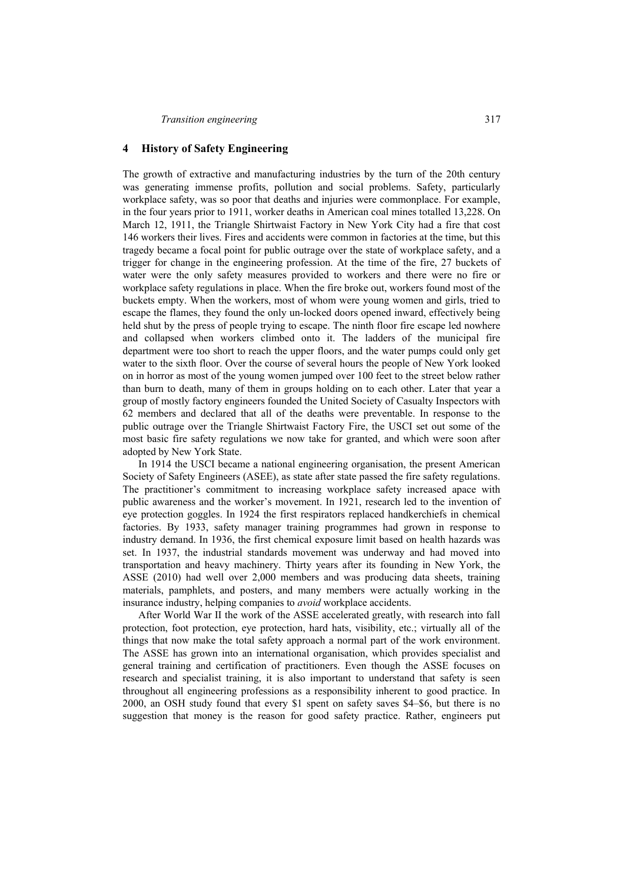## **4 History of Safety Engineering**

The growth of extractive and manufacturing industries by the turn of the 20th century was generating immense profits, pollution and social problems. Safety, particularly workplace safety, was so poor that deaths and injuries were commonplace. For example, in the four years prior to 1911, worker deaths in American coal mines totalled 13,228. On March 12, 1911, the Triangle Shirtwaist Factory in New York City had a fire that cost 146 workers their lives. Fires and accidents were common in factories at the time, but this tragedy became a focal point for public outrage over the state of workplace safety, and a trigger for change in the engineering profession. At the time of the fire, 27 buckets of water were the only safety measures provided to workers and there were no fire or workplace safety regulations in place. When the fire broke out, workers found most of the buckets empty. When the workers, most of whom were young women and girls, tried to escape the flames, they found the only un-locked doors opened inward, effectively being held shut by the press of people trying to escape. The ninth floor fire escape led nowhere and collapsed when workers climbed onto it. The ladders of the municipal fire department were too short to reach the upper floors, and the water pumps could only get water to the sixth floor. Over the course of several hours the people of New York looked on in horror as most of the young women jumped over 100 feet to the street below rather than burn to death, many of them in groups holding on to each other. Later that year a group of mostly factory engineers founded the United Society of Casualty Inspectors with 62 members and declared that all of the deaths were preventable. In response to the public outrage over the Triangle Shirtwaist Factory Fire, the USCI set out some of the most basic fire safety regulations we now take for granted, and which were soon after adopted by New York State.

In 1914 the USCI became a national engineering organisation, the present American Society of Safety Engineers (ASEE), as state after state passed the fire safety regulations. The practitioner's commitment to increasing workplace safety increased apace with public awareness and the worker's movement. In 1921, research led to the invention of eye protection goggles. In 1924 the first respirators replaced handkerchiefs in chemical factories. By 1933, safety manager training programmes had grown in response to industry demand. In 1936, the first chemical exposure limit based on health hazards was set. In 1937, the industrial standards movement was underway and had moved into transportation and heavy machinery. Thirty years after its founding in New York, the ASSE (2010) had well over 2,000 members and was producing data sheets, training materials, pamphlets, and posters, and many members were actually working in the insurance industry, helping companies to *avoid* workplace accidents.

After World War II the work of the ASSE accelerated greatly, with research into fall protection, foot protection, eye protection, hard hats, visibility, etc.; virtually all of the things that now make the total safety approach a normal part of the work environment. The ASSE has grown into an international organisation, which provides specialist and general training and certification of practitioners. Even though the ASSE focuses on research and specialist training, it is also important to understand that safety is seen throughout all engineering professions as a responsibility inherent to good practice. In 2000, an OSH study found that every \$1 spent on safety saves \$4–\$6, but there is no suggestion that money is the reason for good safety practice. Rather, engineers put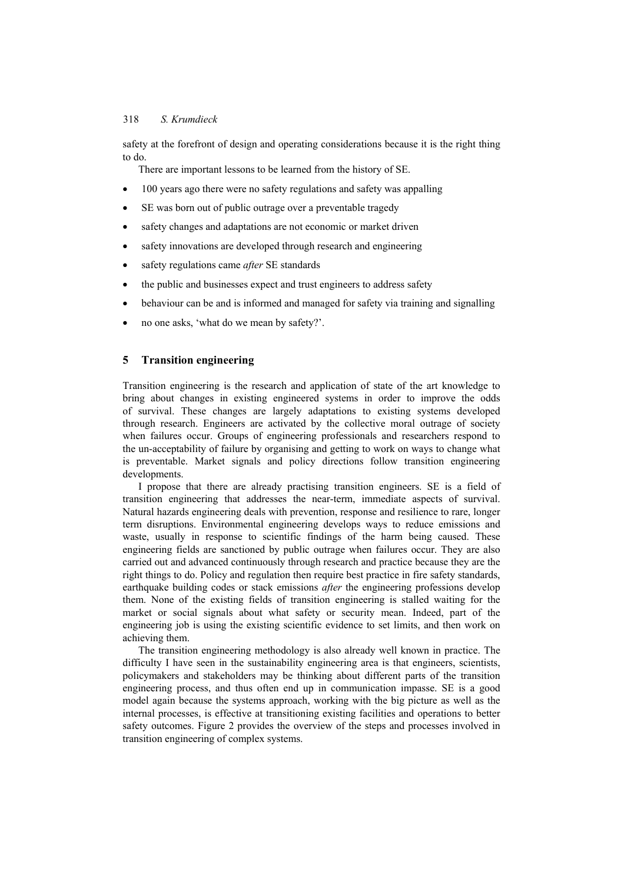safety at the forefront of design and operating considerations because it is the right thing to do.

There are important lessons to be learned from the history of SE.

- 100 years ago there were no safety regulations and safety was appalling
- SE was born out of public outrage over a preventable tragedy
- safety changes and adaptations are not economic or market driven
- safety innovations are developed through research and engineering
- safety regulations came *after* SE standards
- the public and businesses expect and trust engineers to address safety
- behaviour can be and is informed and managed for safety via training and signalling
- no one asks, 'what do we mean by safety?'.

## **5 Transition engineering**

Transition engineering is the research and application of state of the art knowledge to bring about changes in existing engineered systems in order to improve the odds of survival. These changes are largely adaptations to existing systems developed through research. Engineers are activated by the collective moral outrage of society when failures occur. Groups of engineering professionals and researchers respond to the un-acceptability of failure by organising and getting to work on ways to change what is preventable. Market signals and policy directions follow transition engineering developments.

I propose that there are already practising transition engineers. SE is a field of transition engineering that addresses the near-term, immediate aspects of survival. Natural hazards engineering deals with prevention, response and resilience to rare, longer term disruptions. Environmental engineering develops ways to reduce emissions and waste, usually in response to scientific findings of the harm being caused. These engineering fields are sanctioned by public outrage when failures occur. They are also carried out and advanced continuously through research and practice because they are the right things to do. Policy and regulation then require best practice in fire safety standards, earthquake building codes or stack emissions *after* the engineering professions develop them. None of the existing fields of transition engineering is stalled waiting for the market or social signals about what safety or security mean. Indeed, part of the engineering job is using the existing scientific evidence to set limits, and then work on achieving them.

The transition engineering methodology is also already well known in practice. The difficulty I have seen in the sustainability engineering area is that engineers, scientists, policymakers and stakeholders may be thinking about different parts of the transition engineering process, and thus often end up in communication impasse. SE is a good model again because the systems approach, working with the big picture as well as the internal processes, is effective at transitioning existing facilities and operations to better safety outcomes. Figure 2 provides the overview of the steps and processes involved in transition engineering of complex systems.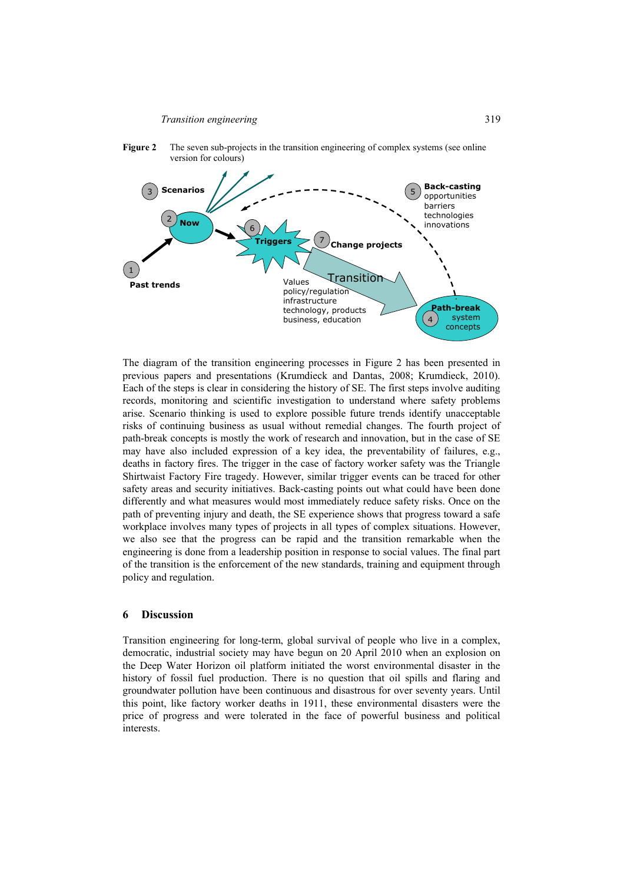



The diagram of the transition engineering processes in Figure 2 has been presented in previous papers and presentations (Krumdieck and Dantas, 2008; Krumdieck, 2010). Each of the steps is clear in considering the history of SE. The first steps involve auditing records, monitoring and scientific investigation to understand where safety problems arise. Scenario thinking is used to explore possible future trends identify unacceptable risks of continuing business as usual without remedial changes. The fourth project of path-break concepts is mostly the work of research and innovation, but in the case of SE may have also included expression of a key idea, the preventability of failures, e.g., deaths in factory fires. The trigger in the case of factory worker safety was the Triangle Shirtwaist Factory Fire tragedy. However, similar trigger events can be traced for other safety areas and security initiatives. Back-casting points out what could have been done differently and what measures would most immediately reduce safety risks. Once on the path of preventing injury and death, the SE experience shows that progress toward a safe workplace involves many types of projects in all types of complex situations. However, we also see that the progress can be rapid and the transition remarkable when the engineering is done from a leadership position in response to social values. The final part of the transition is the enforcement of the new standards, training and equipment through policy and regulation.

#### **6 Discussion**

Transition engineering for long-term, global survival of people who live in a complex, democratic, industrial society may have begun on 20 April 2010 when an explosion on the Deep Water Horizon oil platform initiated the worst environmental disaster in the history of fossil fuel production. There is no question that oil spills and flaring and groundwater pollution have been continuous and disastrous for over seventy years. Until this point, like factory worker deaths in 1911, these environmental disasters were the price of progress and were tolerated in the face of powerful business and political interests.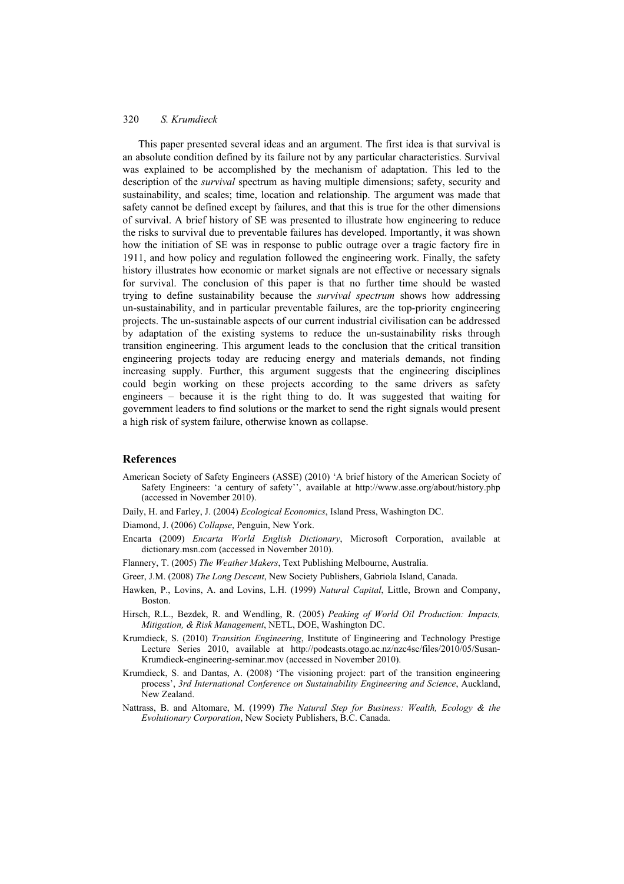This paper presented several ideas and an argument. The first idea is that survival is an absolute condition defined by its failure not by any particular characteristics. Survival was explained to be accomplished by the mechanism of adaptation. This led to the description of the *survival* spectrum as having multiple dimensions; safety, security and sustainability, and scales; time, location and relationship. The argument was made that safety cannot be defined except by failures, and that this is true for the other dimensions of survival. A brief history of SE was presented to illustrate how engineering to reduce the risks to survival due to preventable failures has developed. Importantly, it was shown how the initiation of SE was in response to public outrage over a tragic factory fire in 1911, and how policy and regulation followed the engineering work. Finally, the safety history illustrates how economic or market signals are not effective or necessary signals for survival. The conclusion of this paper is that no further time should be wasted trying to define sustainability because the *survival spectrum* shows how addressing un-sustainability, and in particular preventable failures, are the top-priority engineering projects. The un-sustainable aspects of our current industrial civilisation can be addressed by adaptation of the existing systems to reduce the un-sustainability risks through transition engineering. This argument leads to the conclusion that the critical transition engineering projects today are reducing energy and materials demands, not finding increasing supply. Further, this argument suggests that the engineering disciplines could begin working on these projects according to the same drivers as safety engineers – because it is the right thing to do. It was suggested that waiting for government leaders to find solutions or the market to send the right signals would present a high risk of system failure, otherwise known as collapse.

#### **References**

- American Society of Safety Engineers (ASSE) (2010) 'A brief history of the American Society of Safety Engineers: 'a century of safety'', available at http://www.asse.org/about/history.php (accessed in November 2010).
- Daily, H. and Farley, J. (2004) *Ecological Economics*, Island Press, Washington DC.
- Diamond, J. (2006) *Collapse*, Penguin, New York.
- Encarta (2009) *Encarta World English Dictionary*, Microsoft Corporation, available at dictionary.msn.com (accessed in November 2010).
- Flannery, T. (2005) *The Weather Makers*, Text Publishing Melbourne, Australia.
- Greer, J.M. (2008) *The Long Descent*, New Society Publishers, Gabriola Island, Canada.
- Hawken, P., Lovins, A. and Lovins, L.H. (1999) *Natural Capital*, Little, Brown and Company, Boston.
- Hirsch, R.L., Bezdek, R. and Wendling, R. (2005) *Peaking of World Oil Production: Impacts, Mitigation, & Risk Management*, NETL, DOE, Washington DC.
- Krumdieck, S. (2010) *Transition Engineering*, Institute of Engineering and Technology Prestige Lecture Series 2010, available at http://podcasts.otago.ac.nz/nzc4sc/files/2010/05/Susan-Krumdieck-engineering-seminar.mov (accessed in November 2010).
- Krumdieck, S. and Dantas, A. (2008) 'The visioning project: part of the transition engineering process', *3rd International Conference on Sustainability Engineering and Science*, Auckland, New Zealand.
- Nattrass, B. and Altomare, M. (1999) *The Natural Step for Business: Wealth, Ecology & the Evolutionary Corporation*, New Society Publishers, B.C. Canada.